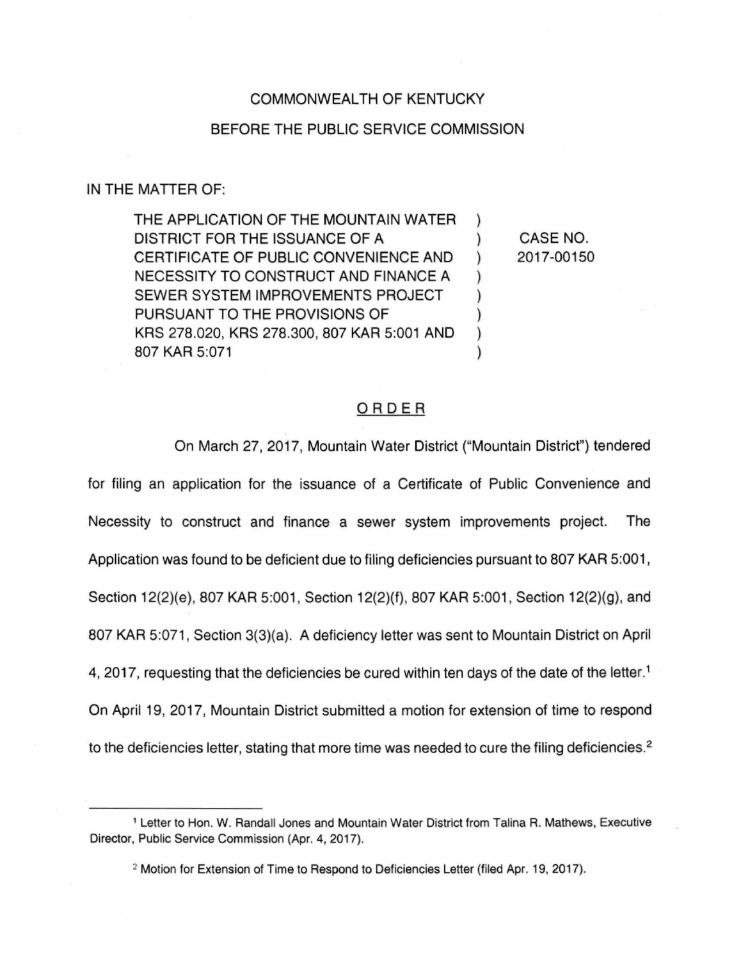## COMMONWEALTH OF KENTUCKY

## BEFORE THE PUBLIC SERVICE COMMISSION

## IN THE MATTER OF:

THE APPLICATION OF THE MOUNTAIN WATER ) DISTRICT FOR THE ISSUANCE OF A ) CERTIFICATE OF PUBLIC CONVENIENCE AND ) NECESSITY TO CONSTRUCT AND FINANCE A ) SEWER SYSTEM IMPROVEMENTS PROJECT PURSUANT TO THE PROVISIONS OF KRS 278.020, KRS 278.300, 807 KAR 5:001 AND ) 807 KAR 5:071 )

CASE NO. 2017-00150

## ORDER

On March 27, 2017, Mountain Water District ("Mountain District") tendered

for filing an application for the issuance of a Certificate of Public Convenience and Necessity to construct and finance a sewer system improvements project. The Application was found to be deficient due to filing deficiencies pursuant to 807 KAR 5:001, Section 12(2)(e), 807 KAR 5:001 , Section 12(2)(f), 807 KAR 5:001 , Section 12(2)(g), and 807 KAR 5:071 , Section 3(3)(a). A deficiency letter was sent to Mountain District on April 4, 2017, requesting that the deficiencies be cured within ten days of the date of the letter.<sup>1</sup> On April 19, 2017, Mountain District submitted a motion for extension of time to respond to the deficiencies letter, stating that more time was needed to cure the filing deficiencies.<sup>2</sup>

<sup>1</sup>Letter to Hon. W. Randall Jones and Mountain Water District from Talina R. Mathews, Executive Director, Public Service Commission (Apr. 4, 2017).

<sup>2</sup> Motion for Extension of Time to Respond to Deficiencies Letter (filed Apr. 19, 2017).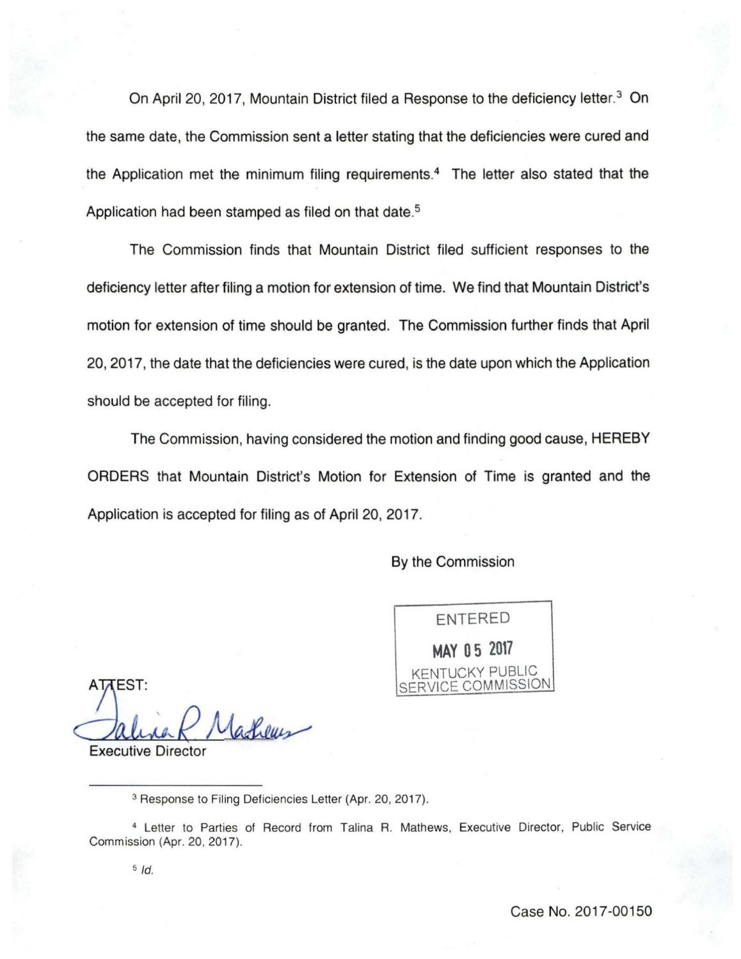On April 20, 2017, Mountain District filed a Response to the deficiency letter.<sup>3</sup> On the same date, the Commission sent a letter stating that the deficiencies were cured and the Application met the minimum filing requirements.<sup>4</sup> The letter also stated that the Application had been stamped as filed on that date. 5

The Commission finds that Mountain District filed sufficient responses to the deficiency letter after filing a motion for extension of time. We find that Mountain District's motion for extension of time should be granted. The Commission further finds that April 20, 2017, the date that the deficiencies were cured, is the date upon which the Application should be accepted for filing.

The Commission, having considered the motion and finding good cause, HEREBY ORDERS that Mountain District's Motion for Extension of Time is granted and the Application is accepted for filing as of April 20, 2017.

By the Commission

ENTERED **MAY 0 5 2017**  KENTUCKY PUBLIC SERVICE COMMISSION

**ATTEST:** (adheus

**Executive Director** 

<sup>3</sup> Response to Filing Deficiencies Letter (Apr. 20, 2017).

<sup>4</sup>Letter to Parties of Record from Talina R. Mathews, Executive Director, Public Service Commission (Apr. 20, 2017).

5 */d.*